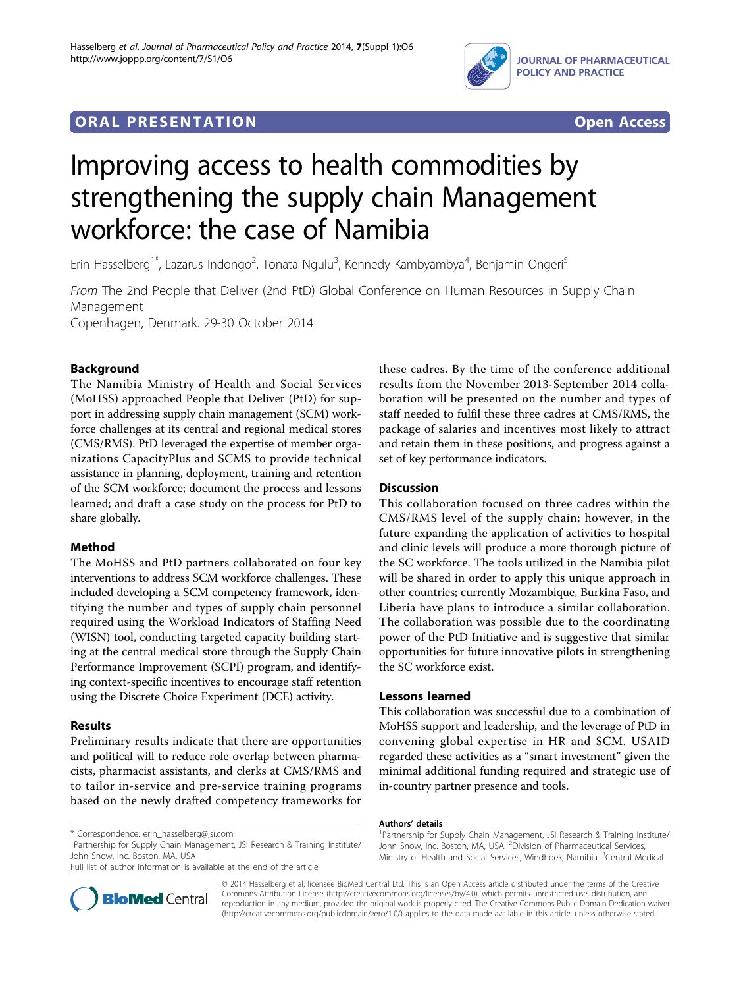

# **ORAL PRESENTATION CONSUMING A LIGAN CONSUMING A LIGAN CONSUMING A LIGAN CONSUMING A LIGAN CONSUMING A LIGAN CONSUMING A LIGAN CONSUMING A LIGAN CONSUMING A LIGAN CONSUMING A LIGAN CONSUMING A LIGAN CONSUMING A LIGAN CON**



# Improving access to health commodities by strengthening the supply chain Management workforce: the case of Namibia

Erin Hasselberg<sup>1\*</sup>, Lazarus Indongo<sup>2</sup>, Tonata Ngulu<sup>3</sup>, Kennedy Kambyambya<sup>4</sup>, Benjamin Ongeri<sup>5</sup>

From The 2nd People that Deliver (2nd PtD) Global Conference on Human Resources in Supply Chain Management

Copenhagen, Denmark. 29-30 October 2014

# Background

The Namibia Ministry of Health and Social Services (MoHSS) approached People that Deliver (PtD) for support in addressing supply chain management (SCM) workforce challenges at its central and regional medical stores (CMS/RMS). PtD leveraged the expertise of member organizations CapacityPlus and SCMS to provide technical assistance in planning, deployment, training and retention of the SCM workforce; document the process and lessons learned; and draft a case study on the process for PtD to share globally.

### Method

The MoHSS and PtD partners collaborated on four key interventions to address SCM workforce challenges. These included developing a SCM competency framework, identifying the number and types of supply chain personnel required using the Workload Indicators of Staffing Need (WISN) tool, conducting targeted capacity building starting at the central medical store through the Supply Chain Performance Improvement (SCPI) program, and identifying context-specific incentives to encourage staff retention using the Discrete Choice Experiment (DCE) activity.

### Results

Preliminary results indicate that there are opportunities and political will to reduce role overlap between pharmacists, pharmacist assistants, and clerks at CMS/RMS and to tailor in-service and pre-service training programs based on the newly drafted competency frameworks for

<sup>1</sup>Partnership for Supply Chain Management, JSI Research & Training Institute/ John Snow, Inc. Boston, MA, USA

Full list of author information is available at the end of the article



#### **Discussion**

This collaboration focused on three cadres within the CMS/RMS level of the supply chain; however, in the future expanding the application of activities to hospital and clinic levels will produce a more thorough picture of the SC workforce. The tools utilized in the Namibia pilot will be shared in order to apply this unique approach in other countries; currently Mozambique, Burkina Faso, and Liberia have plans to introduce a similar collaboration. The collaboration was possible due to the coordinating power of the PtD Initiative and is suggestive that similar opportunities for future innovative pilots in strengthening the SC workforce exist.

# Lessons learned

This collaboration was successful due to a combination of MoHSS support and leadership, and the leverage of PtD in convening global expertise in HR and SCM. USAID regarded these activities as a "smart investment" given the minimal additional funding required and strategic use of in-country partner presence and tools.

#### Authors' details <sup>1</sup>



© 2014 Hasselberg et al; licensee BioMed Central Ltd. This is an Open Access article distributed under the terms of the Creative Commons Attribution License [\(http://creativecommons.org/licenses/by/4.0](http://creativecommons.org/licenses/by/4.0)), which permits unrestricted use, distribution, and reproduction in any medium, provided the original work is properly cited. The Creative Commons Public Domain Dedication waiver [\(http://creativecommons.org/publicdomain/zero/1.0/](http://creativecommons.org/publicdomain/zero/1.0/)) applies to the data made available in this article, unless otherwise stated.

<sup>\*</sup> Correspondence: [erin\\_hasselberg@jsi.com](mailto:erin_hasselberg@jsi.com)

<sup>&</sup>lt;sup>1</sup>Partnership for Supply Chain Management, JSI Research & Training Institute/ John Snow, Inc. Boston, MA, USA. <sup>2</sup> Division of Pharmaceutical Services, Ministry of Health and Social Services, Windhoek, Namibia. <sup>3</sup>Central Medical